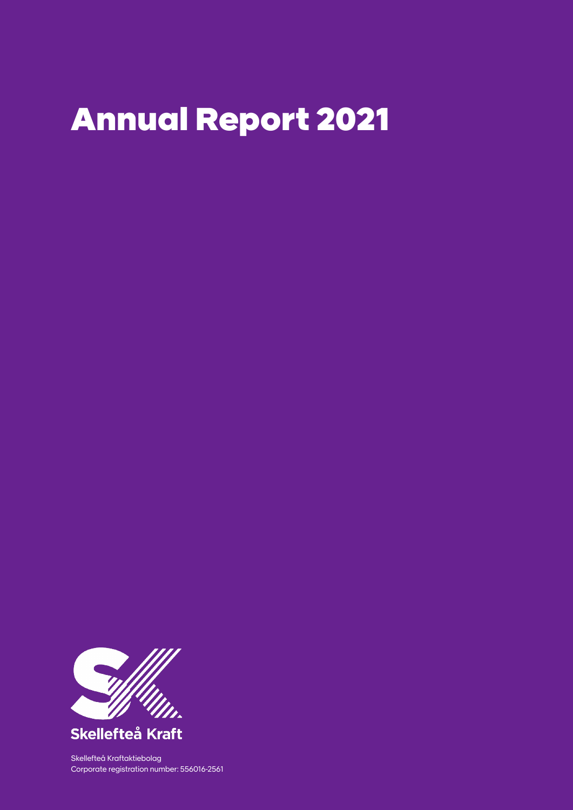# Annual Report 2021



Skellefteå Kraft

Skellefteå Kraftaktiebolag Corporate registration number: 556016-2561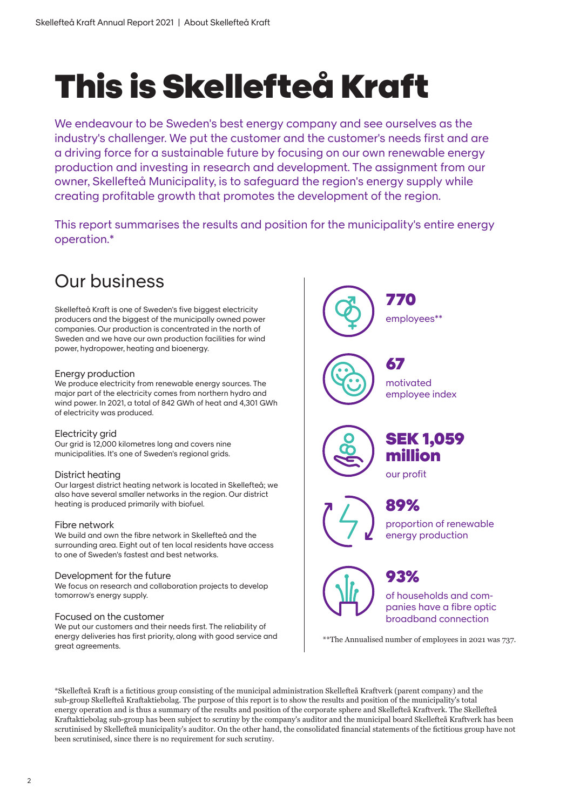# This is Skellefteå Kraft

We endeavour to be Sweden's best energy company and see ourselves as the industry's challenger. We put the customer and the customer's needs first and are a driving force for a sustainable future by focusing on our own renewable energy production and investing in research and development. The assignment from our owner, Skellefteå Municipality, is to safeguard the region's energy supply while creating profitable growth that promotes the development of the region.

This report summarises the results and position for the municipality's entire energy operation.\*

# Our business

Skellefteå Kraft is one of Sweden's five biggest electricity producers and the biggest of the municipally owned power companies. Our production is concentrated in the north of Sweden and we have our own production facilities for wind power, hydropower, heating and bioenergy.

# Energy production

We produce electricity from renewable energy sources. The major part of the electricity comes from northern hydro and wind power. In 2021, a total of 842 GWh of heat and 4,301 GWh of electricity was produced.

## Electricity grid

Our grid is 12,000 kilometres long and covers nine municipalities. It's one of Sweden's regional grids.

## District heating

Our largest district heating network is located in Skellefteå; we also have several smaller networks in the region. Our district heating is produced primarily with biofuel.

## Fibre network

We build and own the fibre network in Skellefteå and the surrounding area. Eight out of ten local residents have access to one of Sweden's fastest and best networks.

### Development for the future

We focus on research and collaboration projects to develop tomorrow's energy supply.

### Focused on the customer

We put our customers and their needs first. The reliability of energy deliveries has first priority, along with good service and great agreements.



\*Skellefteå Kraft is a fictitious group consisting of the municipal administration Skellefteå Kraftverk (parent company) and the sub-group Skellefteå Kraftaktiebolag. The purpose of this report is to show the results and position of the municipality's total energy operation and is thus a summary of the results and position of the corporate sphere and Skellefteå Kraftverk. The Skellefteå Kraftaktiebolag sub-group has been subject to scrutiny by the company's auditor and the municipal board Skellefteå Kraftverk has been scrutinised by Skellefteå municipality's auditor. On the other hand, the consolidated financial statements of the fictitious group have not been scrutinised, since there is no requirement for such scrutiny.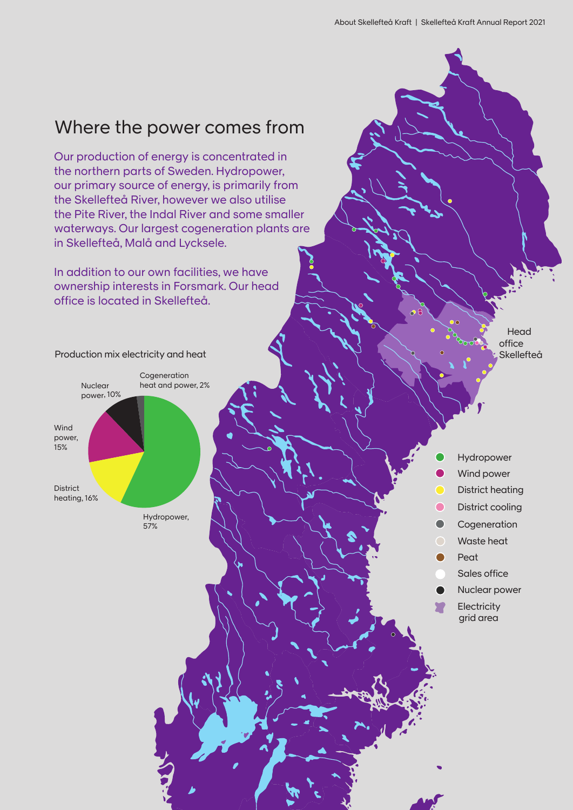# Where the power comes from

Our production of energy is concentrated in the northern parts of Sweden. Hydropower, our primary source of energy, is primarily from the Skellefteå River, however we also utilise the Pite River, the Indal River and some smaller waterways. Our largest cogeneration plants are in Skellefteå, Malå and Lycksele.

In addition to our own facilities, we have ownership interests in Forsmark. Our head office is located in Skellefteå.



Head office Skellefteå

- Hydropower
- Wind power
- District heating
- $\bullet$ District cooling
- $\bullet$ Cogeneration
	- Waste heat
- Peat ◠
	- Sales office
	- Nuclear power
	- **Electricity** grid area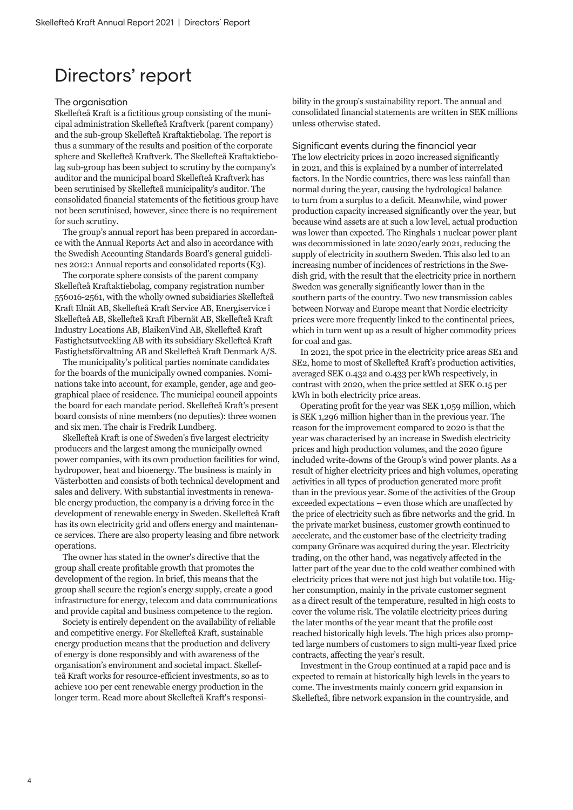# Directors' report

### The organisation

Skellefteå Kraft is a fictitious group consisting of the municipal administration Skellefteå Kraftverk (parent company) and the sub-group Skellefteå Kraftaktiebolag. The report is thus a summary of the results and position of the corporate sphere and Skellefteå Kraftverk. The Skellefteå Kraftaktiebolag sub-group has been subject to scrutiny by the company's auditor and the municipal board Skellefteå Kraftverk has been scrutinised by Skellefteå municipality's auditor. The consolidated financial statements of the fictitious group have not been scrutinised, however, since there is no requirement for such scrutiny.

The group's annual report has been prepared in accordance with the Annual Reports Act and also in accordance with the Swedish Accounting Standards Board's general guidelines 2012:1 Annual reports and consolidated reports (K3).

The corporate sphere consists of the parent company Skellefteå Kraftaktiebolag, company registration number 556016-2561, with the wholly owned subsidiaries Skellefteå Kraft Elnät AB, Skellefteå Kraft Service AB, Energiservice i Skellefteå AB, Skellefteå Kraft Fibernät AB, Skellefteå Kraft Industry Locations AB, BlaikenVind AB, Skellefteå Kraft Fastighetsutveckling AB with its subsidiary Skellefteå Kraft Fastighetsförvaltning AB and Skellefteå Kraft Denmark A/S.

The municipality's political parties nominate candidates for the boards of the municipally owned companies. Nominations take into account, for example, gender, age and geographical place of residence. The municipal council appoints the board for each mandate period. Skellefteå Kraft's present board consists of nine members (no deputies): three women and six men. The chair is Fredrik Lundberg.

Skellefteå Kraft is one of Sweden's five largest electricity producers and the largest among the municipally owned power companies, with its own production facilities for wind, hydropower, heat and bioenergy. The business is mainly in Västerbotten and consists of both technical development and sales and delivery. With substantial investments in renewable energy production, the company is a driving force in the development of renewable energy in Sweden. Skellefteå Kraft has its own electricity grid and offers energy and maintenance services. There are also property leasing and fibre network operations.

The owner has stated in the owner's directive that the group shall create profitable growth that promotes the development of the region. In brief, this means that the group shall secure the region's energy supply, create a good infrastructure for energy, telecom and data communications and provide capital and business competence to the region.

Society is entirely dependent on the availability of reliable and competitive energy. For Skellefteå Kraft, sustainable energy production means that the production and delivery of energy is done responsibly and with awareness of the organisation's environment and societal impact. Skellefteå Kraft works for resource-efficient investments, so as to achieve 100 per cent renewable energy production in the longer term. Read more about Skellefteå Kraft's responsibility in the group's sustainability report. The annual and consolidated financial statements are written in SEK millions unless otherwise stated.

Significant events during the financial year The low electricity prices in 2020 increased significantly in 2021, and this is explained by a number of interrelated factors. In the Nordic countries, there was less rainfall than normal during the year, causing the hydrological balance to turn from a surplus to a deficit. Meanwhile, wind power production capacity increased significantly over the year, but because wind assets are at such a low level, actual production was lower than expected. The Ringhals 1 nuclear power plant was decommissioned in late 2020/early 2021, reducing the supply of electricity in southern Sweden. This also led to an increasing number of incidences of restrictions in the Swedish grid, with the result that the electricity price in northern Sweden was generally significantly lower than in the southern parts of the country. Two new transmission cables between Norway and Europe meant that Nordic electricity prices were more frequently linked to the continental prices, which in turn went up as a result of higher commodity prices for coal and gas.

In 2021, the spot price in the electricity price areas SE1 and SE2, home to most of Skellefteå Kraft's production activities, averaged SEK 0.432 and 0.433 per kWh respectively, in contrast with 2020, when the price settled at SEK 0.15 per kWh in both electricity price areas.

Operating profit for the year was SEK 1,059 million, which is SEK 1,296 million higher than in the previous year. The reason for the improvement compared to 2020 is that the year was characterised by an increase in Swedish electricity prices and high production volumes, and the 2020 figure included write-downs of the Group's wind power plants. As a result of higher electricity prices and high volumes, operating activities in all types of production generated more profit than in the previous year. Some of the activities of the Group exceeded expectations – even those which are unaffected by the price of electricity such as fibre networks and the grid. In the private market business, customer growth continued to accelerate, and the customer base of the electricity trading company Grönare was acquired during the year. Electricity trading, on the other hand, was negatively affected in the latter part of the year due to the cold weather combined with electricity prices that were not just high but volatile too. Higher consumption, mainly in the private customer segment as a direct result of the temperature, resulted in high costs to cover the volume risk. The volatile electricity prices during the later months of the year meant that the profile cost reached historically high levels. The high prices also prompted large numbers of customers to sign multi-year fixed price contracts, affecting the year's result.

Investment in the Group continued at a rapid pace and is expected to remain at historically high levels in the years to come. The investments mainly concern grid expansion in Skellefteå, fibre network expansion in the countryside, and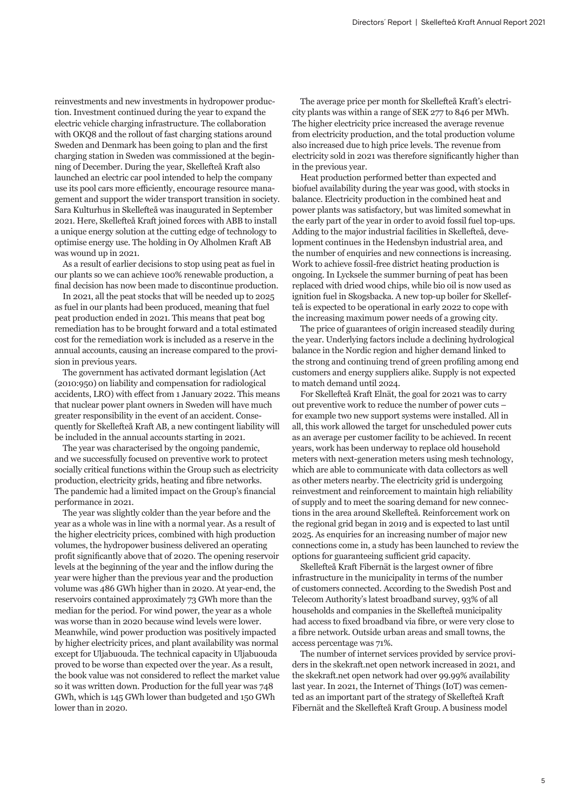reinvestments and new investments in hydropower production. Investment continued during the year to expand the electric vehicle charging infrastructure. The collaboration with OKQ8 and the rollout of fast charging stations around Sweden and Denmark has been going to plan and the first charging station in Sweden was commissioned at the beginning of December. During the year, Skellefteå Kraft also launched an electric car pool intended to help the company use its pool cars more efficiently, encourage resource management and support the wider transport transition in society. Sara Kulturhus in Skellefteå was inaugurated in September 2021. Here, Skellefteå Kraft joined forces with ABB to install a unique energy solution at the cutting edge of technology to optimise energy use. The holding in Oy Alholmen Kraft AB was wound up in 2021.

As a result of earlier decisions to stop using peat as fuel in our plants so we can achieve 100% renewable production, a final decision has now been made to discontinue production.

In 2021, all the peat stocks that will be needed up to 2025 as fuel in our plants had been produced, meaning that fuel peat production ended in 2021. This means that peat bog remediation has to be brought forward and a total estimated cost for the remediation work is included as a reserve in the annual accounts, causing an increase compared to the provision in previous years.

The government has activated dormant legislation (Act (2010:950) on liability and compensation for radiological accidents, LRO) with effect from 1 January 2022. This means that nuclear power plant owners in Sweden will have much greater responsibility in the event of an accident. Consequently for Skellefteå Kraft AB, a new contingent liability will be included in the annual accounts starting in 2021.

The year was characterised by the ongoing pandemic, and we successfully focused on preventive work to protect socially critical functions within the Group such as electricity production, electricity grids, heating and fibre networks. The pandemic had a limited impact on the Group's financial performance in 2021.

The year was slightly colder than the year before and the year as a whole was in line with a normal year. As a result of the higher electricity prices, combined with high production volumes, the hydropower business delivered an operating profit significantly above that of 2020. The opening reservoir levels at the beginning of the year and the inflow during the year were higher than the previous year and the production volume was 486 GWh higher than in 2020. At year-end, the reservoirs contained approximately 73 GWh more than the median for the period. For wind power, the year as a whole was worse than in 2020 because wind levels were lower. Meanwhile, wind power production was positively impacted by higher electricity prices, and plant availability was normal except for Uljabuouda. The technical capacity in Uljabuouda proved to be worse than expected over the year. As a result, the book value was not considered to reflect the market value so it was written down. Production for the full year was 748 GWh, which is 145 GWh lower than budgeted and 150 GWh lower than in 2020.

The average price per month for Skellefteå Kraft's electricity plants was within a range of SEK 277 to 846 per MWh. The higher electricity price increased the average revenue from electricity production, and the total production volume also increased due to high price levels. The revenue from electricity sold in 2021 was therefore significantly higher than in the previous year.

Heat production performed better than expected and biofuel availability during the year was good, with stocks in balance. Electricity production in the combined heat and power plants was satisfactory, but was limited somewhat in the early part of the year in order to avoid fossil fuel top-ups. Adding to the major industrial facilities in Skellefteå, development continues in the Hedensbyn industrial area, and the number of enquiries and new connections is increasing. Work to achieve fossil-free district heating production is ongoing. In Lycksele the summer burning of peat has been replaced with dried wood chips, while bio oil is now used as ignition fuel in Skogsbacka. A new top-up boiler for Skellefteå is expected to be operational in early 2022 to cope with the increasing maximum power needs of a growing city.

The price of guarantees of origin increased steadily during the year. Underlying factors include a declining hydrological balance in the Nordic region and higher demand linked to the strong and continuing trend of green profiling among end customers and energy suppliers alike. Supply is not expected to match demand until 2024.

For Skellefteå Kraft Elnät, the goal for 2021 was to carry out preventive work to reduce the number of power cuts – for example two new support systems were installed. All in all, this work allowed the target for unscheduled power cuts as an average per customer facility to be achieved. In recent years, work has been underway to replace old household meters with next-generation meters using mesh technology, which are able to communicate with data collectors as well as other meters nearby. The electricity grid is undergoing reinvestment and reinforcement to maintain high reliability of supply and to meet the soaring demand for new connections in the area around Skellefteå. Reinforcement work on the regional grid began in 2019 and is expected to last until 2025. As enquiries for an increasing number of major new connections come in, a study has been launched to review the options for guaranteeing sufficient grid capacity.

Skellefteå Kraft Fibernät is the largest owner of fibre infrastructure in the municipality in terms of the number of customers connected. According to the Swedish Post and Telecom Authority's latest broadband survey, 93% of all households and companies in the Skellefteå municipality had access to fixed broadband via fibre, or were very close to a fibre network. Outside urban areas and small towns, the access percentage was 71%.

The number of internet services provided by service providers in the skekraft.net open network increased in 2021, and the skekraft.net open network had over 99.99% availability last year. In 2021, the Internet of Things (IoT) was cemented as an important part of the strategy of Skellefteå Kraft Fibernät and the Skellefteå Kraft Group. A business model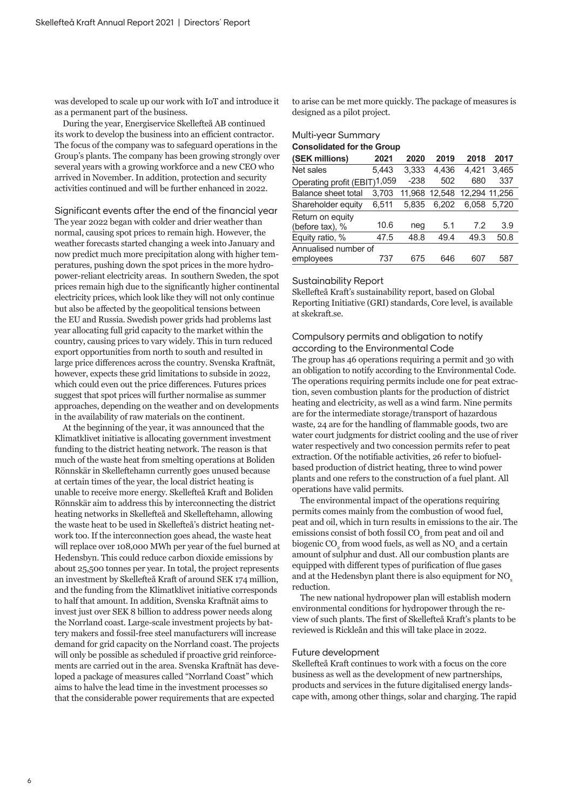was developed to scale up our work with IoT and introduce it as a permanent part of the business.

During the year, Energiservice Skellefteå AB continued its work to develop the business into an efficient contractor. The focus of the company was to safeguard operations in the Group's plants. The company has been growing strongly over several years with a growing workforce and a new CEO who arrived in November. In addition, protection and security activities continued and will be further enhanced in 2022.

Significant events after the end of the financial year The year 2022 began with colder and drier weather than normal, causing spot prices to remain high. However, the weather forecasts started changing a week into January and now predict much more precipitation along with higher temperatures, pushing down the spot prices in the more hydropower-reliant electricity areas. In southern Sweden, the spot prices remain high due to the significantly higher continental electricity prices, which look like they will not only continue but also be affected by the geopolitical tensions between the EU and Russia. Swedish power grids had problems last year allocating full grid capacity to the market within the country, causing prices to vary widely. This in turn reduced export opportunities from north to south and resulted in large price differences across the country. Svenska Kraftnät, however, expects these grid limitations to subside in 2022, which could even out the price differences. Futures prices suggest that spot prices will further normalise as summer approaches, depending on the weather and on developments in the availability of raw materials on the continent.

At the beginning of the year, it was announced that the Klimatklivet initiative is allocating government investment funding to the district heating network. The reason is that much of the waste heat from smelting operations at Boliden Rönnskär in Skelleftehamn currently goes unused because at certain times of the year, the local district heating is unable to receive more energy. Skellefteå Kraft and Boliden Rönnskär aim to address this by interconnecting the district heating networks in Skellefteå and Skelleftehamn, allowing the waste heat to be used in Skellefteå's district heating network too. If the interconnection goes ahead, the waste heat will replace over 108,000 MWh per year of the fuel burned at Hedensbyn. This could reduce carbon dioxide emissions by about 25,500 tonnes per year. In total, the project represents an investment by Skellefteå Kraft of around SEK 174 million, and the funding from the Klimatklivet initiative corresponds to half that amount. In addition, Svenska Kraftnät aims to invest just over SEK 8 billion to address power needs along the Norrland coast. Large-scale investment projects by battery makers and fossil-free steel manufacturers will increase demand for grid capacity on the Norrland coast. The projects will only be possible as scheduled if proactive grid reinforcements are carried out in the area. Svenska Kraftnät has developed a package of measures called "Norrland Coast" which aims to halve the lead time in the investment processes so that the considerable power requirements that are expected

to arise can be met more quickly. The package of measures is designed as a pilot project.

## Multi-year Summary **Consolidated for the Group**

| (SEK millions)                      | 2021  | 2020   | 2019   | 2018          | 2017  |
|-------------------------------------|-------|--------|--------|---------------|-------|
| Net sales                           | 5.443 | 3.333  | 4.436  | 4.421         | 3.465 |
| Operating profit (EBIT)1,059        |       | $-238$ | 502    | 680           | 337   |
| <b>Balance sheet total</b>          | 3.703 | 11.968 | 12,548 | 12,294 11,256 |       |
| Shareholder equity                  | 6,511 | 5.835  | 6.202  | 6.058         | 5.720 |
| Return on equity<br>(before tax), % | 10.6  | neg    | 5.1    | 7.2           | 3.9   |
| Equity ratio, %                     | 47.5  | 48.8   | 49.4   | 49.3          | 50.8  |
| Annualised number of<br>employees   | 737   | 675    | 646    | 607           | 587   |

### Sustainability Report

Skellefteå Kraft's sustainability report, based on Global Reporting Initiative (GRI) standards, Core level, is available at skekraft.se.

# Compulsory permits and obligation to notify according to the Environmental Code

The group has 46 operations requiring a permit and 30 with an obligation to notify according to the Environmental Code. The operations requiring permits include one for peat extraction, seven combustion plants for the production of district heating and electricity, as well as a wind farm. Nine permits are for the intermediate storage/transport of hazardous waste, 24 are for the handling of flammable goods, two are water court judgments for district cooling and the use of river water respectively and two concession permits refer to peat extraction. Of the notifiable activities, 26 refer to biofuelbased production of district heating, three to wind power plants and one refers to the construction of a fuel plant. All operations have valid permits.

The environmental impact of the operations requiring permits comes mainly from the combustion of wood fuel, peat and oil, which in turn results in emissions to the air. The emissions consist of both fossil  $\mathrm{CO}_2^{}$  from peat and oil and biogenic CO<sub>2</sub> from wood fuels, as well as  $\rm NO_x$  and a certain amount of sulphur and dust. All our combustion plants are equipped with different types of purification of flue gases and at the Hedensbyn plant there is also equipment for NO<sub>x</sub> reduction.

The new national hydropower plan will establish modern environmental conditions for hydropower through the review of such plants. The first of Skellefteå Kraft's plants to be reviewed is Rickleån and this will take place in 2022.

### Future development

Skellefteå Kraft continues to work with a focus on the core business as well as the development of new partnerships, products and services in the future digitalised energy landscape with, among other things, solar and charging. The rapid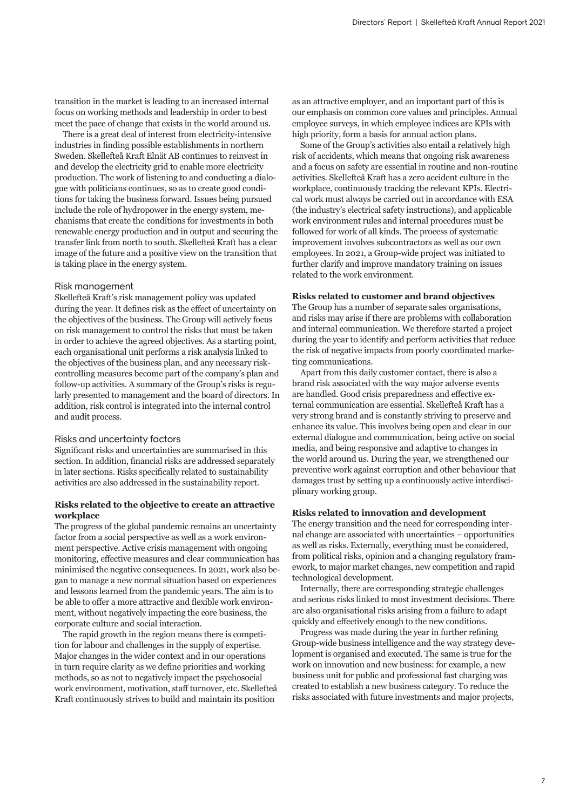transition in the market is leading to an increased internal focus on working methods and leadership in order to best meet the pace of change that exists in the world around us.

There is a great deal of interest from electricity-intensive industries in finding possible establishments in northern Sweden. Skellefteå Kraft Elnät AB continues to reinvest in and develop the electricity grid to enable more electricity production. The work of listening to and conducting a dialogue with politicians continues, so as to create good conditions for taking the business forward. Issues being pursued include the role of hydropower in the energy system, mechanisms that create the conditions for investments in both renewable energy production and in output and securing the transfer link from north to south. Skellefteå Kraft has a clear image of the future and a positive view on the transition that is taking place in the energy system.

### Risk management

Skellefteå Kraft's risk management policy was updated during the year. It defines risk as the effect of uncertainty on the objectives of the business. The Group will actively focus on risk management to control the risks that must be taken in order to achieve the agreed objectives. As a starting point, each organisational unit performs a risk analysis linked to the objectives of the business plan, and any necessary riskcontrolling measures become part of the company's plan and follow-up activities. A summary of the Group's risks is regularly presented to management and the board of directors. In addition, risk control is integrated into the internal control and audit process.

#### Risks and uncertainty factors

Significant risks and uncertainties are summarised in this section. In addition, financial risks are addressed separately in later sections. Risks specifically related to sustainability activities are also addressed in the sustainability report.

# **Risks related to the objective to create an attractive workplace**

The progress of the global pandemic remains an uncertainty factor from a social perspective as well as a work environment perspective. Active crisis management with ongoing monitoring, effective measures and clear communication has minimised the negative consequences. In 2021, work also began to manage a new normal situation based on experiences and lessons learned from the pandemic years. The aim is to be able to offer a more attractive and flexible work environment, without negatively impacting the core business, the corporate culture and social interaction.

The rapid growth in the region means there is competition for labour and challenges in the supply of expertise. Major changes in the wider context and in our operations in turn require clarity as we define priorities and working methods, so as not to negatively impact the psychosocial work environment, motivation, staff turnover, etc. Skellefteå Kraft continuously strives to build and maintain its position

as an attractive employer, and an important part of this is our emphasis on common core values and principles. Annual employee surveys, in which employee indices are KPIs with high priority, form a basis for annual action plans.

Some of the Group's activities also entail a relatively high risk of accidents, which means that ongoing risk awareness and a focus on safety are essential in routine and non-routine activities. Skellefteå Kraft has a zero accident culture in the workplace, continuously tracking the relevant KPIs. Electrical work must always be carried out in accordance with ESA (the industry's electrical safety instructions), and applicable work environment rules and internal procedures must be followed for work of all kinds. The process of systematic improvement involves subcontractors as well as our own employees. In 2021, a Group-wide project was initiated to further clarify and improve mandatory training on issues related to the work environment.

### **Risks related to customer and brand objectives**

The Group has a number of separate sales organisations, and risks may arise if there are problems with collaboration and internal communication. We therefore started a project during the year to identify and perform activities that reduce the risk of negative impacts from poorly coordinated marketing communications.

Apart from this daily customer contact, there is also a brand risk associated with the way major adverse events are handled. Good crisis preparedness and effective external communication are essential. Skellefteå Kraft has a very strong brand and is constantly striving to preserve and enhance its value. This involves being open and clear in our external dialogue and communication, being active on social media, and being responsive and adaptive to changes in the world around us. During the year, we strengthened our preventive work against corruption and other behaviour that damages trust by setting up a continuously active interdisciplinary working group.

### **Risks related to innovation and development**

The energy transition and the need for corresponding internal change are associated with uncertainties – opportunities as well as risks. Externally, everything must be considered, from political risks, opinion and a changing regulatory framework, to major market changes, new competition and rapid technological development.

Internally, there are corresponding strategic challenges and serious risks linked to most investment decisions. There are also organisational risks arising from a failure to adapt quickly and effectively enough to the new conditions.

Progress was made during the year in further refining Group-wide business intelligence and the way strategy development is organised and executed. The same is true for the work on innovation and new business: for example, a new business unit for public and professional fast charging was created to establish a new business category. To reduce the risks associated with future investments and major projects,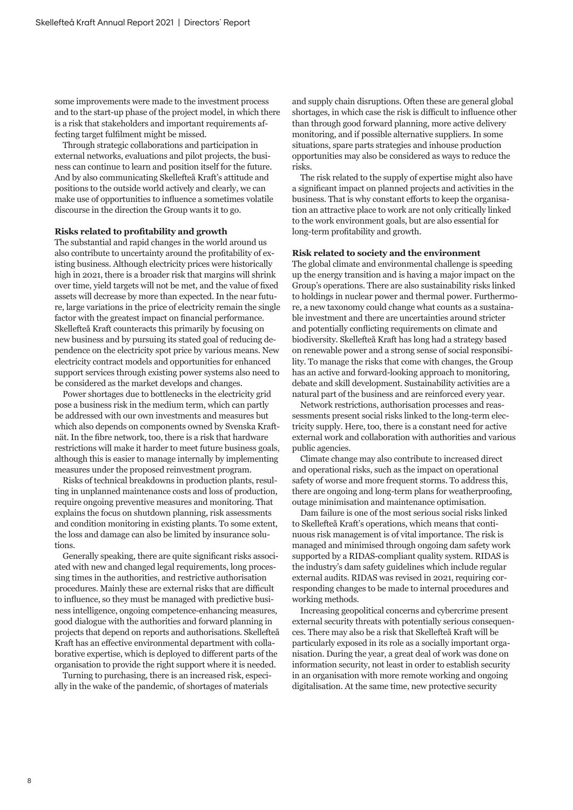some improvements were made to the investment process and to the start-up phase of the project model, in which there is a risk that stakeholders and important requirements affecting target fulfilment might be missed.

Through strategic collaborations and participation in external networks, evaluations and pilot projects, the business can continue to learn and position itself for the future. And by also communicating Skellefteå Kraft's attitude and positions to the outside world actively and clearly, we can make use of opportunities to influence a sometimes volatile discourse in the direction the Group wants it to go.

#### **Risks related to profitability and growth**

The substantial and rapid changes in the world around us also contribute to uncertainty around the profitability of existing business. Although electricity prices were historically high in 2021, there is a broader risk that margins will shrink over time, yield targets will not be met, and the value of fixed assets will decrease by more than expected. In the near future, large variations in the price of electricity remain the single factor with the greatest impact on financial performance. Skellefteå Kraft counteracts this primarily by focusing on new business and by pursuing its stated goal of reducing dependence on the electricity spot price by various means. New electricity contract models and opportunities for enhanced support services through existing power systems also need to be considered as the market develops and changes.

Power shortages due to bottlenecks in the electricity grid pose a business risk in the medium term, which can partly be addressed with our own investments and measures but which also depends on components owned by Svenska Kraftnät. In the fibre network, too, there is a risk that hardware restrictions will make it harder to meet future business goals, although this is easier to manage internally by implementing measures under the proposed reinvestment program.

Risks of technical breakdowns in production plants, resulting in unplanned maintenance costs and loss of production, require ongoing preventive measures and monitoring. That explains the focus on shutdown planning, risk assessments and condition monitoring in existing plants. To some extent, the loss and damage can also be limited by insurance solutions.

Generally speaking, there are quite significant risks associated with new and changed legal requirements, long processing times in the authorities, and restrictive authorisation procedures. Mainly these are external risks that are difficult to influence, so they must be managed with predictive business intelligence, ongoing competence-enhancing measures, good dialogue with the authorities and forward planning in projects that depend on reports and authorisations. Skellefteå Kraft has an effective environmental department with collaborative expertise, which is deployed to different parts of the organisation to provide the right support where it is needed.

Turning to purchasing, there is an increased risk, especially in the wake of the pandemic, of shortages of materials

and supply chain disruptions. Often these are general global shortages, in which case the risk is difficult to influence other than through good forward planning, more active delivery monitoring, and if possible alternative suppliers. In some situations, spare parts strategies and inhouse production opportunities may also be considered as ways to reduce the risks.

The risk related to the supply of expertise might also have a significant impact on planned projects and activities in the business. That is why constant efforts to keep the organisation an attractive place to work are not only critically linked to the work environment goals, but are also essential for long-term profitability and growth.

#### **Risk related to society and the environment**

The global climate and environmental challenge is speeding up the energy transition and is having a major impact on the Group's operations. There are also sustainability risks linked to holdings in nuclear power and thermal power. Furthermore, a new taxonomy could change what counts as a sustainable investment and there are uncertainties around stricter and potentially conflicting requirements on climate and biodiversity. Skellefteå Kraft has long had a strategy based on renewable power and a strong sense of social responsibility. To manage the risks that come with changes, the Group has an active and forward-looking approach to monitoring, debate and skill development. Sustainability activities are a natural part of the business and are reinforced every year.

Network restrictions, authorisation processes and reassessments present social risks linked to the long-term electricity supply. Here, too, there is a constant need for active external work and collaboration with authorities and various public agencies.

Climate change may also contribute to increased direct and operational risks, such as the impact on operational safety of worse and more frequent storms. To address this, there are ongoing and long-term plans for weatherproofing, outage minimisation and maintenance optimisation.

Dam failure is one of the most serious social risks linked to Skellefteå Kraft's operations, which means that continuous risk management is of vital importance. The risk is managed and minimised through ongoing dam safety work supported by a RIDAS-compliant quality system. RIDAS is the industry's dam safety guidelines which include regular external audits. RIDAS was revised in 2021, requiring corresponding changes to be made to internal procedures and working methods.

Increasing geopolitical concerns and cybercrime present external security threats with potentially serious consequences. There may also be a risk that Skellefteå Kraft will be particularly exposed in its role as a socially important organisation. During the year, a great deal of work was done on information security, not least in order to establish security in an organisation with more remote working and ongoing digitalisation. At the same time, new protective security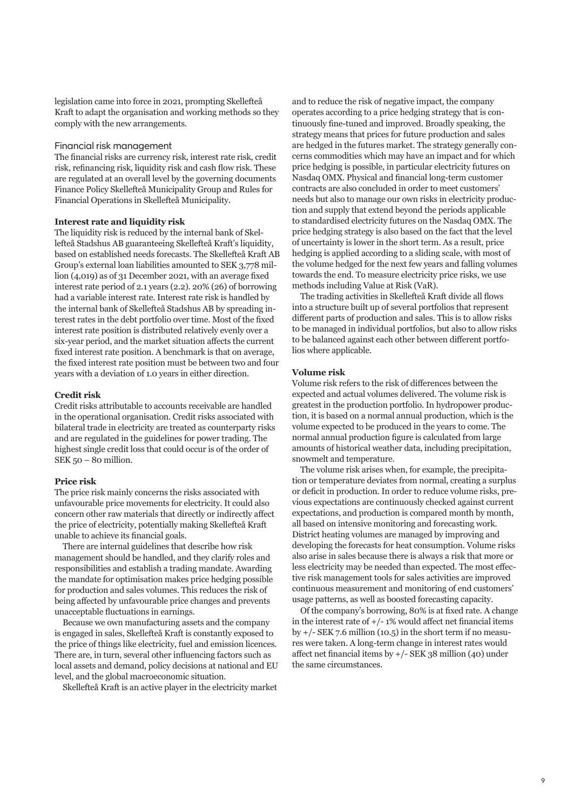legislation came into force in 2021, prompting Skellefteå Kraft to adapt the organisation and working methods so they comply with the new arrangements.

# Financial risk management

The financial risks are currency risk, interest rate risk, credit risk, refinancing risk, liquidity risk and cash flow risk. These are regulated at an overall level by the governing documents Finance Policy Skellefteå Municipality Group and Rules for Financial Operations in Skellefteå Municipality.

### **Interest rate and liquidity risk**

The liquidity risk is reduced by the internal bank of Skellefteå Stadshus AB guaranteeing Skellefteå Kraft's liquidity, based on established needs forecasts. The Skellefteå Kraft AB Group's external loan liabilities amounted to SEK 3,778 million (4,019) as of 31 December 2021, with an average fixed interest rate period of 2.1 years (2.2). 20% (26) of borrowing had a variable interest rate. Interest rate risk is handled by the internal bank of Skellefteå Stadshus AB by spreading interest rates in the debt portfolio over time. Most of the fixed interest rate position is distributed relatively evenly over a six-year period, and the market situation affects the current fixed interest rate position. A benchmark is that on average, the fixed interest rate position must be between two and four years with a deviation of 1.0 years in either direction.

# **Credit risk**

Credit risks attributable to accounts receivable are handled in the operational organisation. Credit risks associated with bilateral trade in electricity are treated as counterparty risks and are regulated in the guidelines for power trading. The highest single credit loss that could occur is of the order of SEK 50 – 80 million.

#### **Price risk**

The price risk mainly concerns the risks associated with unfavourable price movements for electricity. It could also concern other raw materials that directly or indirectly affect the price of electricity, potentially making Skellefteå Kraft unable to achieve its financial goals.

There are internal guidelines that describe how risk management should be handled, and they clarify roles and responsibilities and establish a trading mandate. Awarding the mandate for optimisation makes price hedging possible for production and sales volumes. This reduces the risk of being affected by unfavourable price changes and prevents unacceptable fluctuations in earnings.

Because we own manufacturing assets and the company is engaged in sales, Skellefteå Kraft is constantly exposed to the price of things like electricity, fuel and emission licences. There are, in turn, several other influencing factors such as local assets and demand, policy decisions at national and EU level, and the global macroeconomic situation.

Skellefteå Kraft is an active player in the electricity market

and to reduce the risk of negative impact, the company operates according to a price hedging strategy that is continuously fine-tuned and improved. Broadly speaking, the strategy means that prices for future production and sales are hedged in the futures market. The strategy generally concerns commodities which may have an impact and for which price hedging is possible, in particular electricity futures on Nasdaq OMX. Physical and financial long-term customer contracts are also concluded in order to meet customers' needs but also to manage our own risks in electricity production and supply that extend beyond the periods applicable to standardised electricity futures on the Nasdaq OMX. The price hedging strategy is also based on the fact that the level of uncertainty is lower in the short term. As a result, price hedging is applied according to a sliding scale, with most of the volume hedged for the next few years and falling volumes towards the end. To measure electricity price risks, we use methods including Value at Risk (VaR).

The trading activities in Skellefteå Kraft divide all flows into a structure built up of several portfolios that represent different parts of production and sales. This is to allow risks to be managed in individual portfolios, but also to allow risks to be balanced against each other between different portfolios where applicable.

### **Volume risk**

Volume risk refers to the risk of differences between the expected and actual volumes delivered. The volume risk is greatest in the production portfolio. In hydropower production, it is based on a normal annual production, which is the volume expected to be produced in the years to come. The normal annual production figure is calculated from large amounts of historical weather data, including precipitation, snowmelt and temperature.

The volume risk arises when, for example, the precipitation or temperature deviates from normal, creating a surplus or deficit in production. In order to reduce volume risks, previous expectations are continuously checked against current expectations, and production is compared month by month, all based on intensive monitoring and forecasting work. District heating volumes are managed by improving and developing the forecasts for heat consumption. Volume risks also arise in sales because there is always a risk that more or less electricity may be needed than expected. The most effective risk management tools for sales activities are improved continuous measurement and monitoring of end customers' usage patterns, as well as boosted forecasting capacity.

Of the company's borrowing, 80% is at fixed rate. A change in the interest rate of  $+/- 1\%$  would affect net financial items by  $+/-$  SEK 7.6 million (10.5) in the short term if no measures were taken. A long-term change in interest rates would affect net financial items by +/- SEK 38 million (40) under the same circumstances.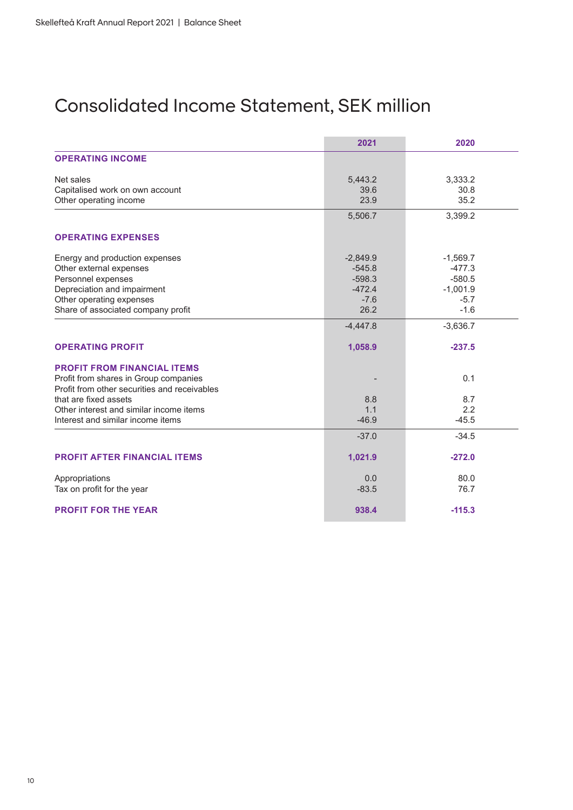# Consolidated Income Statement, SEK million

|                                              | 2021       | 2020       |
|----------------------------------------------|------------|------------|
| <b>OPERATING INCOME</b>                      |            |            |
| Net sales                                    | 5,443.2    | 3,333.2    |
| Capitalised work on own account              | 39.6       | 30.8       |
| Other operating income                       | 23.9       | 35.2       |
|                                              | 5,506.7    | 3,399.2    |
| <b>OPERATING EXPENSES</b>                    |            |            |
| Energy and production expenses               | $-2,849.9$ | $-1,569.7$ |
| Other external expenses                      | $-545.8$   | $-477.3$   |
| Personnel expenses                           | $-598.3$   | $-580.5$   |
| Depreciation and impairment                  | $-472.4$   | $-1,001.9$ |
| Other operating expenses                     | $-7.6$     | $-5.7$     |
| Share of associated company profit           | 26.2       | $-1.6$     |
|                                              | $-4,447.8$ | $-3,636.7$ |
| <b>OPERATING PROFIT</b>                      | 1,058.9    | $-237.5$   |
| <b>PROFIT FROM FINANCIAL ITEMS</b>           |            |            |
| Profit from shares in Group companies        |            | 0.1        |
| Profit from other securities and receivables |            |            |
| that are fixed assets                        | 8.8        | 8.7        |
| Other interest and similar income items      | 1.1        | 2.2        |
| Interest and similar income items            | $-46.9$    | $-45.5$    |
|                                              | $-37.0$    | $-34.5$    |
| <b>PROFIT AFTER FINANCIAL ITEMS</b>          | 1,021.9    | $-272.0$   |
| Appropriations                               | 0.0        | 80.0       |
| Tax on profit for the year                   | $-83.5$    | 76.7       |
| <b>PROFIT FOR THE YEAR</b>                   | 938.4      | $-115.3$   |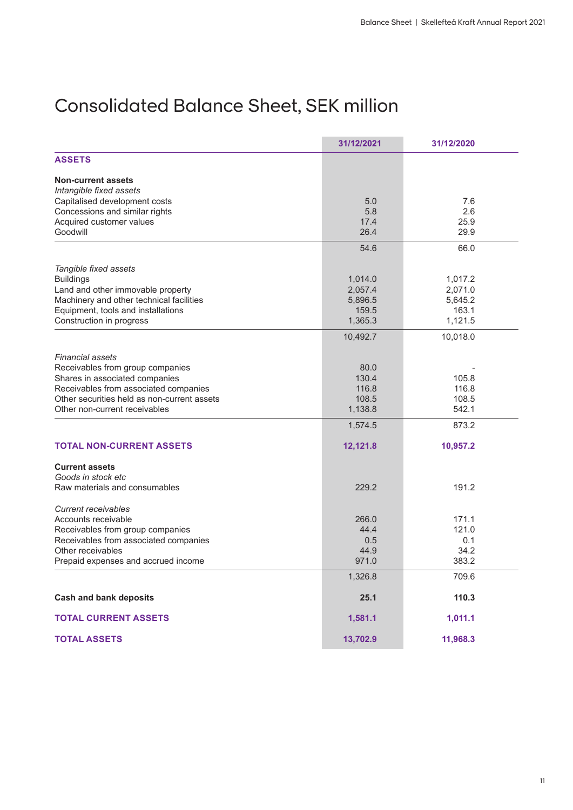# Consolidated Balance Sheet, SEK million

|                                                                    | 31/12/2021 | 31/12/2020     |  |
|--------------------------------------------------------------------|------------|----------------|--|
| <b>ASSETS</b>                                                      |            |                |  |
| <b>Non-current assets</b>                                          |            |                |  |
| Intangible fixed assets                                            |            |                |  |
| Capitalised development costs                                      | 5.0        | 7.6            |  |
| Concessions and similar rights                                     | 5.8        | 2.6            |  |
| Acquired customer values                                           | 17.4       | 25.9           |  |
| Goodwill                                                           | 26.4       | 29.9           |  |
|                                                                    | 54.6       | 66.0           |  |
|                                                                    |            |                |  |
| Tangible fixed assets                                              |            |                |  |
| <b>Buildings</b>                                                   | 1,014.0    | 1,017.2        |  |
| Land and other immovable property                                  | 2,057.4    | 2,071.0        |  |
| Machinery and other technical facilities                           | 5,896.5    | 5,645.2        |  |
| Equipment, tools and installations                                 | 159.5      | 163.1          |  |
| Construction in progress                                           | 1,365.3    | 1,121.5        |  |
|                                                                    | 10,492.7   | 10,018.0       |  |
| <b>Financial assets</b>                                            |            |                |  |
|                                                                    | 80.0       |                |  |
| Receivables from group companies<br>Shares in associated companies |            |                |  |
|                                                                    | 130.4      | 105.8<br>116.8 |  |
| Receivables from associated companies                              | 116.8      |                |  |
| Other securities held as non-current assets                        | 108.5      | 108.5          |  |
| Other non-current receivables                                      | 1,138.8    | 542.1          |  |
|                                                                    | 1,574.5    | 873.2          |  |
| <b>TOTAL NON-CURRENT ASSETS</b>                                    | 12,121.8   | 10,957.2       |  |
| <b>Current assets</b>                                              |            |                |  |
| Goods in stock etc                                                 |            |                |  |
| Raw materials and consumables                                      | 229.2      | 191.2          |  |
|                                                                    |            |                |  |
| Current receivables                                                |            |                |  |
| Accounts receivable                                                | 266.0      | 171.1          |  |
| Receivables from group companies                                   | 44.4       | 121.0          |  |
| Receivables from associated companies                              | 0.5        | 0.1            |  |
| Other receivables                                                  | 44.9       | 34.2           |  |
| Prepaid expenses and accrued income                                | 971.0      | 383.2          |  |
|                                                                    | 1,326.8    | 709.6          |  |
| <b>Cash and bank deposits</b>                                      | 25.1       | 110.3          |  |
|                                                                    |            |                |  |
| <b>TOTAL CURRENT ASSETS</b>                                        | 1,581.1    | 1,011.1        |  |
| <b>TOTAL ASSETS</b>                                                | 13,702.9   | 11,968.3       |  |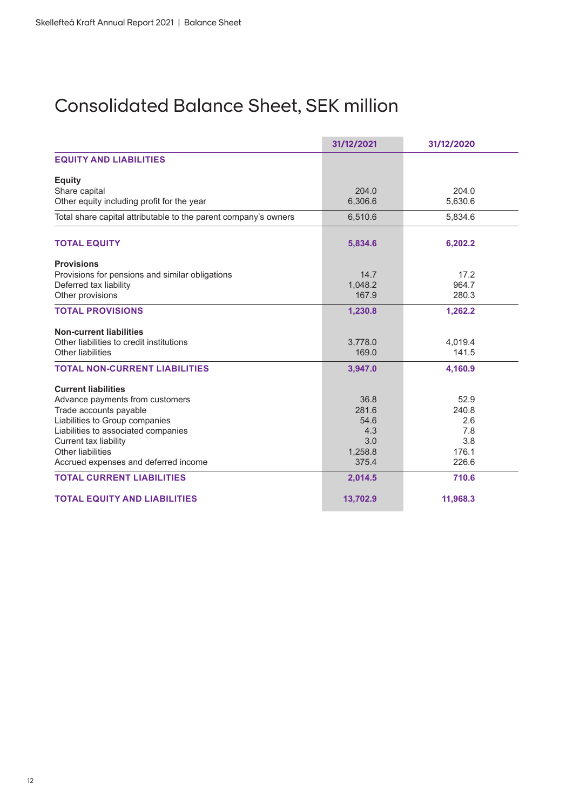# Consolidated Balance Sheet, SEK million

|                                                                 | 31/12/2021 | 31/12/2020 |
|-----------------------------------------------------------------|------------|------------|
| <b>EQUITY AND LIABILITIES</b>                                   |            |            |
| <b>Equity</b>                                                   |            |            |
| Share capital                                                   | 204.0      | 204.0      |
| Other equity including profit for the year                      | 6,306.6    | 5,630.6    |
| Total share capital attributable to the parent company's owners | 6,510.6    | 5,834.6    |
| <b>TOTAL EQUITY</b>                                             | 5,834.6    | 6,202.2    |
| <b>Provisions</b>                                               |            |            |
| Provisions for pensions and similar obligations                 | 14.7       | 17.2       |
| Deferred tax liability                                          | 1.048.2    | 964.7      |
| Other provisions                                                | 167.9      | 280.3      |
| <b>TOTAL PROVISIONS</b>                                         | 1,230.8    | 1,262.2    |
| <b>Non-current liabilities</b>                                  |            |            |
| Other liabilities to credit institutions                        | 3,778.0    | 4,019.4    |
| <b>Other liabilities</b>                                        | 169.0      | 141.5      |
| <b>TOTAL NON-CURRENT LIABILITIES</b>                            | 3,947.0    | 4.160.9    |
| <b>Current liabilities</b>                                      |            |            |
| Advance payments from customers                                 | 36.8       | 52.9       |
| Trade accounts payable                                          | 281.6      | 240.8      |
| Liabilities to Group companies                                  | 54.6       | 2.6        |
| Liabilities to associated companies                             | 4.3        | 7.8        |
| Current tax liability                                           | 3.0        | 3.8        |
| Other liabilities                                               | 1,258.8    | 176.1      |
| Accrued expenses and deferred income                            | 375.4      | 226.6      |
| <b>TOTAL CURRENT LIABILITIES</b>                                | 2,014.5    | 710.6      |
| <b>TOTAL EQUITY AND LIABILITIES</b>                             | 13,702.9   | 11,968.3   |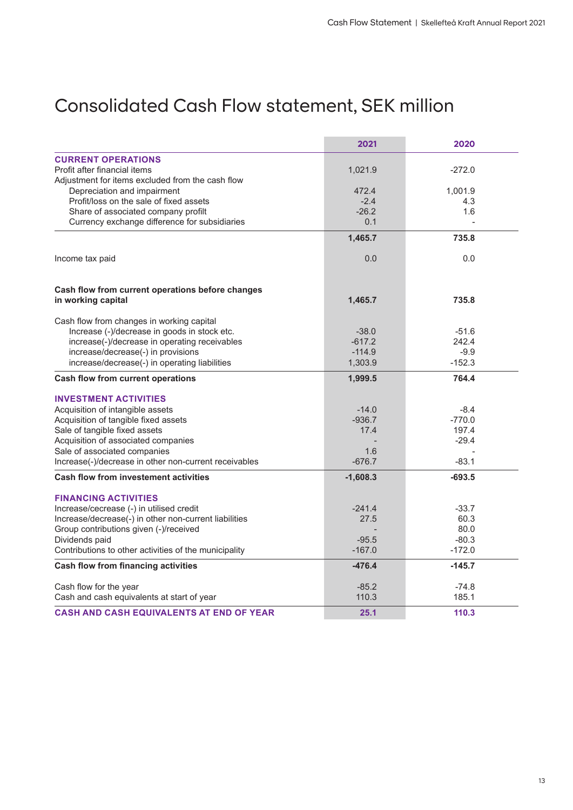# Consolidated Cash Flow statement, SEK million

|                                                       | 2021       | 2020     |
|-------------------------------------------------------|------------|----------|
| <b>CURRENT OPERATIONS</b>                             |            |          |
| Profit after financial items                          | 1,021.9    | $-272.0$ |
| Adjustment for items excluded from the cash flow      |            |          |
| Depreciation and impairment                           | 472.4      | 1,001.9  |
| Profit/loss on the sale of fixed assets               | $-2.4$     | 4.3      |
| Share of associated company profilt                   | $-26.2$    | 1.6      |
| Currency exchange difference for subsidiaries         | 0.1        |          |
|                                                       | 1,465.7    | 735.8    |
| Income tax paid                                       | 0.0        | 0.0      |
| Cash flow from current operations before changes      |            |          |
| in working capital                                    | 1,465.7    | 735.8    |
| Cash flow from changes in working capital             |            |          |
| Increase (-)/decrease in goods in stock etc.          | $-38.0$    | $-51.6$  |
| increase(-)/decrease in operating receivables         | $-617.2$   | 242.4    |
| increase/decrease(-) in provisions                    | $-114.9$   | $-9.9$   |
| increase/decrease(-) in operating liabilities         | 1,303.9    | $-152.3$ |
| Cash flow from current operations                     | 1,999.5    | 764.4    |
| <b>INVESTMENT ACTIVITIES</b>                          |            |          |
| Acquisition of intangible assets                      | $-14.0$    | $-8.4$   |
| Acquisition of tangible fixed assets                  | $-936.7$   | $-770.0$ |
| Sale of tangible fixed assets                         | 17.4       | 197.4    |
| Acquisition of associated companies                   |            | $-29.4$  |
| Sale of associated companies                          | 1.6        |          |
| Increase(-)/decrease in other non-current receivables | $-676.7$   | $-83.1$  |
| <b>Cash flow from investement activities</b>          | $-1,608.3$ | $-693.5$ |
| <b>FINANCING ACTIVITIES</b>                           |            |          |
| Increase/cecrease (-) in utilised credit              | $-241.4$   | $-33.7$  |
| Increase/decrease(-) in other non-current liabilities | 27.5       | 60.3     |
| Group contributions given (-)/received                |            | 80.0     |
| Dividends paid                                        | $-95.5$    | $-80.3$  |
| Contributions to other activities of the municipality | $-167.0$   | $-172.0$ |
| Cash flow from financing activities                   | $-476.4$   | $-145.7$ |
| Cash flow for the year                                | $-85.2$    | $-74.8$  |
| Cash and cash equivalents at start of year            | 110.3      | 185.1    |
| <b>CASH AND CASH EQUIVALENTS AT END OF YEAR</b>       | 25.1       | 110.3    |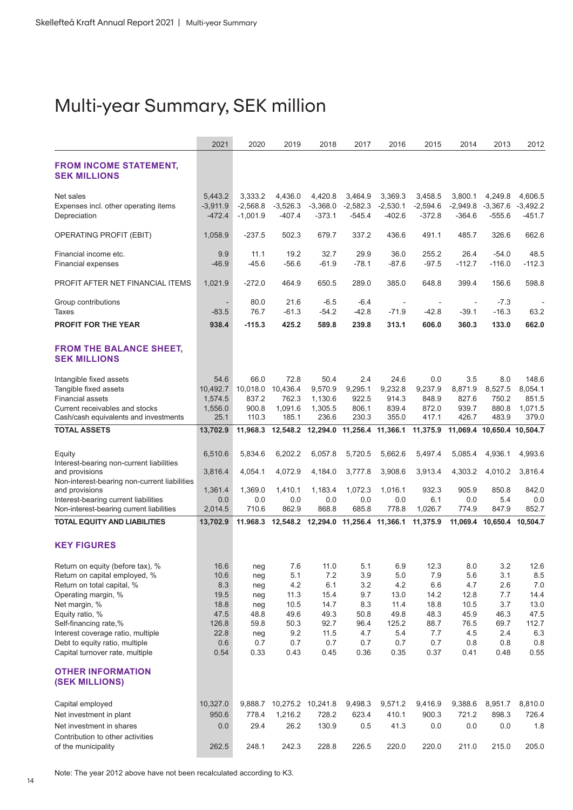# Multi-year Summary, SEK million

|                                                                     | 2021                   | 2020                     | 2019                                         | 2018                                | 2017                   | 2016                     | 2015                   | 2014                   | 2013                       | 2012                 |
|---------------------------------------------------------------------|------------------------|--------------------------|----------------------------------------------|-------------------------------------|------------------------|--------------------------|------------------------|------------------------|----------------------------|----------------------|
| <b>FROM INCOME STATEMENT,</b><br><b>SEK MILLIONS</b>                |                        |                          |                                              |                                     |                        |                          |                        |                        |                            |                      |
| Net sales                                                           | 5,443.2                | 3,333.2                  | 4,436.0                                      | 4,420.8                             | 3,464.9                | 3,369.3                  | 3,458.5                | 3.800.1                | 4,249.8                    | 4.606.5              |
| Expenses incl. other operating items<br>Depreciation                | $-3,911.9$<br>$-472.4$ | $-2,568.8$<br>$-1,001.9$ | $-3,526.3$<br>$-407.4$                       | $-3,368.0$<br>$-373.1$              | $-2,582.3$<br>$-545.4$ | $-2,530.1$<br>-402.6     | $-2,594.6$<br>$-372.8$ | $-2,949.8$<br>$-364.6$ | $-3,367.6$<br>$-555.6$     | $-3,492.2$<br>-451.7 |
| OPERATING PROFIT (EBIT)                                             | 1,058.9                | $-237.5$                 | 502.3                                        | 679.7                               | 337.2                  | 436.6                    | 491.1                  | 485.7                  | 326.6                      | 662.6                |
| Financial income etc.<br><b>Financial expenses</b>                  | 9.9<br>$-46.9$         | 11.1<br>$-45.6$          | 19.2<br>$-56.6$                              | 32.7<br>$-61.9$                     | 29.9<br>$-78.1$        | 36.0<br>$-87.6$          | 255.2<br>$-97.5$       | 26.4<br>$-112.7$       | $-54.0$<br>$-116.0$        | 48.5<br>$-112.3$     |
| PROFIT AFTER NET FINANCIAL ITEMS                                    | 1,021.9                | $-272.0$                 | 464.9                                        | 650.5                               | 289.0                  | 385.0                    | 648.8                  | 399.4                  | 156.6                      | 598.8                |
| Group contributions                                                 |                        | 80.0                     | 21.6                                         | $-6.5$                              | $-6.4$                 | $\overline{\phantom{a}}$ |                        |                        | $-7.3$                     |                      |
| Taxes                                                               | $-83.5$                | 76.7                     | $-61.3$                                      | $-54.2$                             | $-42.8$                | $-71.9$                  | $-42.8$                | $-39.1$                | $-16.3$                    | 63.2                 |
| <b>PROFIT FOR THE YEAR</b>                                          | 938.4                  | $-115.3$                 | 425.2                                        | 589.8                               | 239.8                  | 313.1                    | 606.0                  | 360.3                  | 133.0                      | 662.0                |
| <b>FROM THE BALANCE SHEET,</b><br><b>SEK MILLIONS</b>               |                        |                          |                                              |                                     |                        |                          |                        |                        |                            |                      |
| Intangible fixed assets                                             | 54.6                   | 66.0                     | 72.8                                         | 50.4                                | 2.4                    | 24.6                     | 0.0                    | 3.5                    | 8.0                        | 148.6                |
| Tangible fixed assets                                               | 10,492.7               | 10,018.0                 | 10,436.4                                     | 9,570.9                             | 9,295.1                | 9,232.8                  | 9,237.9                | 8,871.9                | 8,527.5                    | 8,054.1              |
| <b>Financial assets</b><br>Current receivables and stocks           | 1,574.5<br>1,556.0     | 837.2<br>900.8           | 762.3<br>1,091.6                             | 1,130.6<br>1,305.5                  | 922.5<br>806.1         | 914.3<br>839.4           | 848.9<br>872.0         | 827.6<br>939.7         | 750.2<br>880.8             | 851.5<br>1,071.5     |
| Cash/cash equivalents and investments                               | 25.1                   | 110.3                    | 185.1                                        | 236.6                               | 230.3                  | 355.0                    | 417.1                  | 426.7                  | 483.9                      | 379.0                |
| <b>TOTAL ASSETS</b>                                                 | 13,702.9               | 11,968.3                 |                                              | 12,548.2 12,294.0 11,256.4 11,366.1 |                        |                          | 11,375.9               |                        | 11,069.4 10,650.4 10,504.7 |                      |
| Equity                                                              | 6,510.6                | 5,834.6                  | 6,202.2                                      | 6,057.8                             | 5,720.5                | 5,662.6                  | 5,497.4                | 5,085.4                | 4,936.1                    | 4,993.6              |
| Interest-bearing non-current liabilities<br>and provisions          | 3,816.4                | 4,054.1                  | 4,072.9                                      | 4,184.0                             | 3,777.8                | 3,908.6                  | 3,913.4                | 4,303.2                | 4,010.2                    | 3,816.4              |
| Non-interest-bearing non-current liabilities<br>and provisions      | 1,361.4                | 1,369.0                  | 1,410.1                                      | 1,183.4                             | 1,072.3                | 1,016.1                  | 932.3                  | 905.9                  | 850.8                      | 842.0                |
| Interest-bearing current liabilities                                | 0.0                    | 0.0<br>710.6             | 0.0<br>862.9                                 | 0.0<br>868.8                        | 0.0<br>685.8           | 0.0<br>778.8             | 6.1                    | 0.0<br>774.9           | 5.4<br>847.9               | 0.0<br>852.7         |
| Non-interest-bearing current liabilities                            | 2,014.5                |                          |                                              |                                     |                        |                          | 1,026.7                |                        |                            |                      |
| <b>TOTAL EQUITY AND LIABILITIES</b>                                 | 13,702.9               |                          | 11.968.3 12,548.2 12,294.0 11,256.4 11,366.1 |                                     |                        |                          | 11,375.9               |                        | 11,069.4 10,650.4 10,504.7 |                      |
| <b>KEY FIGURES</b>                                                  |                        |                          |                                              |                                     |                        |                          |                        |                        |                            |                      |
| Return on equity (before tax), %                                    | 16.6                   | neg                      | 7.6                                          | 11.0                                | 5.1                    | 6.9                      | 12.3                   | 8.0                    | 3.2                        | 12.6                 |
| Return on capital employed, %<br>Return on total capital, %         | 10.6<br>8.3            | neg                      | 5.1<br>4.2                                   | 7.2<br>6.1                          | 3.9<br>3.2             | 5.0<br>4.2               | 7.9<br>6.6             | 5.6<br>4.7             | 3.1<br>2.6                 | 8.5<br>7.0           |
| Operating margin, %                                                 | 19.5                   | neg<br>neg               | 11.3                                         | 15.4                                | 9.7                    | 13.0                     | 14.2                   | 12.8                   | 7.7                        | 14.4                 |
| Net margin, %                                                       | 18.8                   | neg                      | 10.5                                         | 14.7                                | 8.3                    | 11.4                     | 18.8                   | 10.5                   | 3.7                        | 13.0                 |
| Equity ratio, %                                                     | 47.5                   | 48.8                     | 49.6                                         | 49.3                                | 50.8                   | 49.8                     | 48.3                   | 45.9                   | 46.3                       | 47.5                 |
| Self-financing rate,%                                               | 126.8                  | 59.8                     | 50.3                                         | 92.7                                | 96.4                   | 125.2                    | 88.7                   | 76.5                   | 69.7                       | 112.7                |
| Interest coverage ratio, multiple<br>Debt to equity ratio, multiple | 22.8<br>0.6            | neg<br>0.7               | 9.2<br>0.7                                   | 11.5<br>0.7                         | 4.7<br>0.7             | 5.4<br>0.7               | 7.7<br>0.7             | 4.5<br>0.8             | 2.4<br>0.8                 | 6.3<br>0.8           |
| Capital turnover rate, multiple                                     | 0.54                   | 0.33                     | 0.43                                         | 0.45                                | 0.36                   | 0.35                     | 0.37                   | 0.41                   | 0.48                       | 0.55                 |
| <b>OTHER INFORMATION</b><br><b>(SEK MILLIONS)</b>                   |                        |                          |                                              |                                     |                        |                          |                        |                        |                            |                      |
| Capital employed                                                    | 10,327.0               |                          | 9,888.7 10,275.2 10,241.8                    |                                     | 9,498.3                | 9,571.2                  | 9,416.9                | 9,388.6                | 8,951.7                    | 8,810.0              |
| Net investment in plant                                             | 950.6                  | 778.4                    | 1,216.2                                      | 728.2                               | 623.4                  | 410.1                    | 900.3                  | 721.2                  | 898.3                      | 726.4                |
| Net investment in shares                                            | 0.0                    | 29.4                     | 26.2                                         | 130.9                               | 0.5                    | 41.3                     | 0.0                    | 0.0                    | 0.0                        | 1.8                  |
| Contribution to other activities                                    |                        |                          |                                              |                                     |                        |                          |                        |                        |                            |                      |
| of the municipality                                                 | 262.5                  | 248.1                    | 242.3                                        | 228.8                               | 226.5                  | 220.0                    | 220.0                  | 211.0                  | 215.0                      | 205.0                |

Note: The year 2012 above have not been recalculated according to K3.